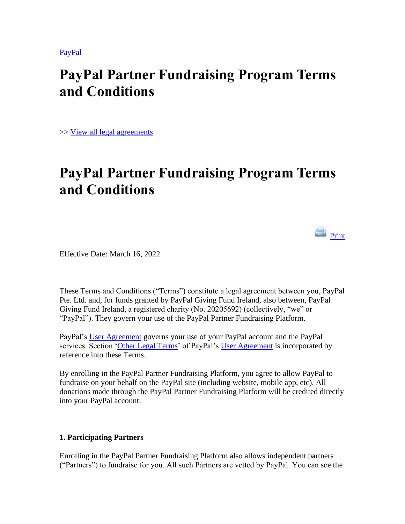[PayPal](https://www.paypal.com/ar/webapps/mpp/home?locale.x=en_AR)

## **PayPal Partner Fundraising Program Terms and Conditions**

>> [View all legal agreements](https://www.paypal.com/ar/webapps/mpp/ua/legalhub-full?locale.x=en_AR)

# **PayPal Partner Fundraising Program Terms and Conditions**

**Print** 

Effective Date: March 16, 2022

These Terms and Conditions ("Terms") constitute a legal agreement between you, PayPal Pte. Ltd. and, for funds granted by PayPal Giving Fund Ireland, also between, PayPal Giving Fund Ireland, a registered charity (No. 20205692) (collectively, "we" or "PayPal"). They govern your use of the PayPal Partner Fundraising Platform.

PayPal's [User Agreement](https://www.paypal.com/ar/webapps/mpp/ua/useragreement-full?locale.x=en_AR) governs your use of your PayPal account and the PayPal services. Section ['Other Legal Terms'](https://www.paypal.com/ar/webapps/mpp/ua/useragreement-full?locale.x=en_AR#other) of PayPal's [User Agreement](https://www.paypal.com/ar/webapps/mpp/ua/useragreement-full?locale.x=en_AR) is incorporated by reference into these Terms.

By enrolling in the PayPal Partner Fundraising Platform, you agree to allow PayPal to fundraise on your behalf on the PayPal site (including website, mobile app, etc). All donations made through the PayPal Partner Fundraising Platform will be credited directly into your PayPal account.

#### **1. Participating Partners**

Enrolling in the PayPal Partner Fundraising Platform also allows independent partners ("Partners") to fundraise for you. All such Partners are vetted by PayPal. You can see the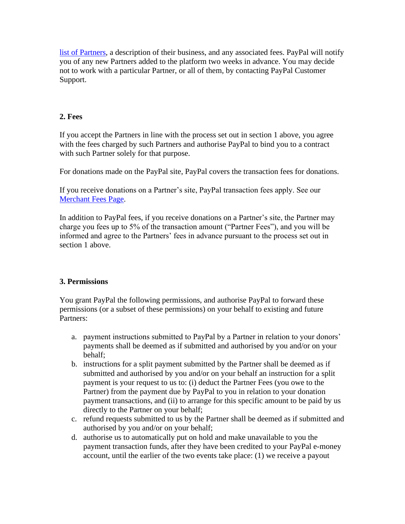[list of Partners,](https://www.paypal.com/ar/givingfund/partner-list?locale.x=en_AR) a description of their business, and any associated fees. PayPal will notify you of any new Partners added to the platform two weeks in advance. You may decide not to work with a particular Partner, or all of them, by contacting PayPal Customer Support.

#### **2. Fees**

If you accept the Partners in line with the process set out in section 1 above, you agree with the fees charged by such Partners and authorise PayPal to bind you to a contract with such Partner solely for that purpose.

For donations made on the PayPal site, PayPal covers the transaction fees for donations.

If you receive donations on a Partner's site, PayPal transaction fees apply. See our [Merchant Fees Page.](https://www.paypal.com/ar/webapps/mpp/ua/useragreement-full?locale.x=en_AR#exhibit_A)

In addition to PayPal fees, if you receive donations on a Partner's site, the Partner may charge you fees up to 5% of the transaction amount ("Partner Fees"), and you will be informed and agree to the Partners' fees in advance pursuant to the process set out in section 1 above.

## **3. Permissions**

You grant PayPal the following permissions, and authorise PayPal to forward these permissions (or a subset of these permissions) on your behalf to existing and future Partners:

- a. payment instructions submitted to PayPal by a Partner in relation to your donors' payments shall be deemed as if submitted and authorised by you and/or on your behalf;
- b. instructions for a split payment submitted by the Partner shall be deemed as if submitted and authorised by you and/or on your behalf an instruction for a split payment is your request to us to: (i) deduct the Partner Fees (you owe to the Partner) from the payment due by PayPal to you in relation to your donation payment transactions, and (ii) to arrange for this specific amount to be paid by us directly to the Partner on your behalf;
- c. refund requests submitted to us by the Partner shall be deemed as if submitted and authorised by you and/or on your behalf;
- d. authorise us to automatically put on hold and make unavailable to you the payment transaction funds, after they have been credited to your PayPal e-money account, until the earlier of the two events take place: (1) we receive a payout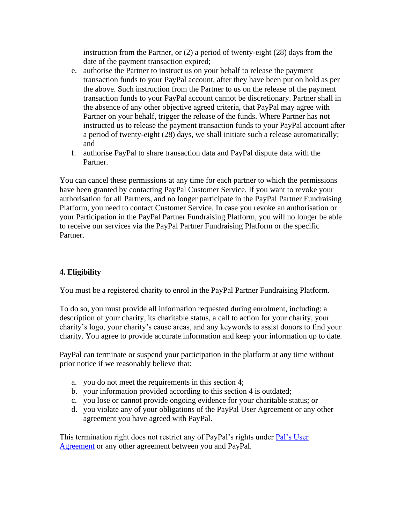instruction from the Partner, or (2) a period of twenty-eight (28) days from the date of the payment transaction expired;

- e. authorise the Partner to instruct us on your behalf to release the payment transaction funds to your PayPal account, after they have been put on hold as per the above. Such instruction from the Partner to us on the release of the payment transaction funds to your PayPal account cannot be discretionary. Partner shall in the absence of any other objective agreed criteria, that PayPal may agree with Partner on your behalf, trigger the release of the funds. Where Partner has not instructed us to release the payment transaction funds to your PayPal account after a period of twenty-eight (28) days, we shall initiate such a release automatically; and
- f. authorise PayPal to share transaction data and PayPal dispute data with the Partner.

You can cancel these permissions at any time for each partner to which the permissions have been granted by contacting PayPal Customer Service. If you want to revoke your authorisation for all Partners, and no longer participate in the PayPal Partner Fundraising Platform, you need to contact Customer Service. In case you revoke an authorisation or your Participation in the PayPal Partner Fundraising Platform, you will no longer be able to receive our services via the PayPal Partner Fundraising Platform or the specific Partner.

## **4. Eligibility**

You must be a registered charity to enrol in the PayPal Partner Fundraising Platform.

To do so, you must provide all information requested during enrolment, including: a description of your charity, its charitable status, a call to action for your charity, your charity's logo, your charity's cause areas, and any keywords to assist donors to find your charity. You agree to provide accurate information and keep your information up to date.

PayPal can terminate or suspend your participation in the platform at any time without prior notice if we reasonably believe that:

- a. you do not meet the requirements in this section 4;
- b. your information provided according to this section 4 is outdated;
- c. you lose or cannot provide ongoing evidence for your charitable status; or
- d. you violate any of your obligations of the PayPal User Agreement or any other agreement you have agreed with PayPal.

This termination right does not restrict any of PayPal's rights under [Pal's User](https://www.paypal.com/ar/webapps/mpp/ua/useragreement-full?locale.x=en_AR)  [Agreement](https://www.paypal.com/ar/webapps/mpp/ua/useragreement-full?locale.x=en_AR) or any other agreement between you and PayPal.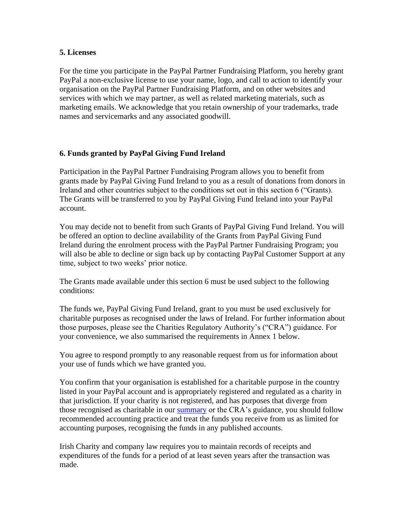#### **5. Licenses**

For the time you participate in the PayPal Partner Fundraising Platform, you hereby grant PayPal a non-exclusive license to use your name, logo, and call to action to identify your organisation on the PayPal Partner Fundraising Platform, and on other websites and services with which we may partner, as well as related marketing materials, such as marketing emails. We acknowledge that you retain ownership of your trademarks, trade names and servicemarks and any associated goodwill.

#### **6. Funds granted by PayPal Giving Fund Ireland**

Participation in the PayPal Partner Fundraising Program allows you to benefit from grants made by PayPal Giving Fund Ireland to you as a result of donations from donors in Ireland and other countries subject to the conditions set out in this section 6 ("Grants). The Grants will be transferred to you by PayPal Giving Fund Ireland into your PayPal account.

You may decide not to benefit from such Grants of PayPal Giving Fund Ireland. You will be offered an option to decline availability of the Grants from PayPal Giving Fund Ireland during the enrolment process with the PayPal Partner Fundraising Program; you will also be able to decline or sign back up by contacting PayPal Customer Support at any time, subject to two weeks' prior notice.

The Grants made available under this section 6 must be used subject to the following conditions:

The funds we, PayPal Giving Fund Ireland, grant to you must be used exclusively for charitable purposes as recognised under the laws of Ireland. For further information about those purposes, please see the Charities Regulatory Authority's ("CRA") guidance. For your convenience, we also summarised the requirements in Annex 1 below.

You agree to respond promptly to any reasonable request from us for information about your use of funds which we have granted you.

You confirm that your organisation is established for a charitable purpose in the country listed in your PayPal account and is appropriately registered and regulated as a charity in that jurisdiction. If your charity is not registered, and has purposes that diverge from those recognised as charitable in our summary or the CRA's guidance, you should follow recommended accounting practice and treat the funds you receive from us as limited for accounting purposes, recognising the funds in any published accounts.

Irish Charity and company law requires you to maintain records of receipts and expenditures of the funds for a period of at least seven years after the transaction was made.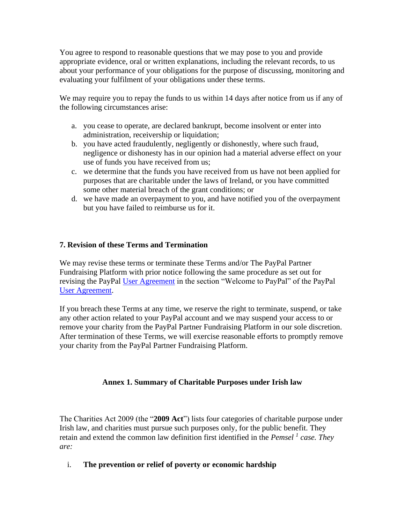You agree to respond to reasonable questions that we may pose to you and provide appropriate evidence, oral or written explanations, including the relevant records, to us about your performance of your obligations for the purpose of discussing, monitoring and evaluating your fulfilment of your obligations under these terms.

We may require you to repay the funds to us within 14 days after notice from us if any of the following circumstances arise:

- a. you cease to operate, are declared bankrupt, become insolvent or enter into administration, receivership or liquidation;
- b. you have acted fraudulently, negligently or dishonestly, where such fraud, negligence or dishonesty has in our opinion had a material adverse effect on your use of funds you have received from us;
- c. we determine that the funds you have received from us have not been applied for purposes that are charitable under the laws of Ireland, or you have committed some other material breach of the grant conditions; or
- d. we have made an overpayment to you, and have notified you of the overpayment but you have failed to reimburse us for it.

#### **7. Revision of these Terms and Termination**

We may revise these terms or terminate these Terms and/or The PayPal Partner Fundraising Platform with prior notice following the same procedure as set out for revising the PayPal [User Agreement](https://www.paypal.com/ar/webapps/mpp/ua/useragreement-full?locale.x=en_AR) in the section "Welcome to PayPal" of the PayPal [User Agreement.](https://www.paypal.com/ar/webapps/mpp/ua/useragreement-full?locale.x=en_AR)

If you breach these Terms at any time, we reserve the right to terminate, suspend, or take any other action related to your PayPal account and we may suspend your access to or remove your charity from the PayPal Partner Fundraising Platform in our sole discretion. After termination of these Terms, we will exercise reasonable efforts to promptly remove your charity from the PayPal Partner Fundraising Platform.

#### **Annex 1. Summary of Charitable Purposes under Irish law**

The Charities Act 2009 (the "**2009 Act**") lists four categories of charitable purpose under Irish law, and charities must pursue such purposes only, for the public benefit. They retain and extend the common law definition first identified in the *Pemsel <sup>1</sup> case. They are:*

#### i. **The prevention or relief of poverty or economic hardship**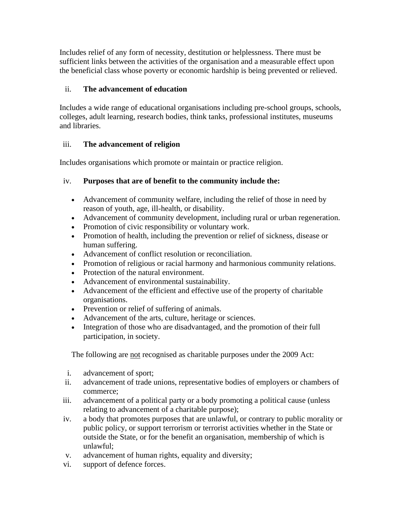Includes relief of any form of necessity, destitution or helplessness. There must be sufficient links between the activities of the organisation and a measurable effect upon the beneficial class whose poverty or economic hardship is being prevented or relieved.

## ii. **The advancement of education**

Includes a wide range of educational organisations including pre-school groups, schools, colleges, adult learning, research bodies, think tanks, professional institutes, museums and libraries.

## iii. **The advancement of religion**

Includes organisations which promote or maintain or practice religion.

## iv. **Purposes that are of benefit to the community include the:**

- Advancement of community welfare, including the relief of those in need by reason of youth, age, ill-health, or disability.
- Advancement of community development, including rural or urban regeneration.
- Promotion of civic responsibility or voluntary work.
- Promotion of health, including the prevention or relief of sickness, disease or human suffering.
- Advancement of conflict resolution or reconciliation.
- Promotion of religious or racial harmony and harmonious community relations.
- Protection of the natural environment.
- Advancement of environmental sustainability.
- Advancement of the efficient and effective use of the property of charitable organisations.
- Prevention or relief of suffering of animals.
- Advancement of the arts, culture, heritage or sciences.
- Integration of those who are disadvantaged, and the promotion of their full participation, in society.

The following are not recognised as charitable purposes under the 2009 Act:

- i. advancement of sport;
- ii. advancement of trade unions, representative bodies of employers or chambers of commerce;
- iii. advancement of a political party or a body promoting a political cause (unless relating to advancement of a charitable purpose);
- iv. a body that promotes purposes that are unlawful, or contrary to public morality or public policy, or support terrorism or terrorist activities whether in the State or outside the State, or for the benefit an organisation, membership of which is unlawful;
- v. advancement of human rights, equality and diversity;
- vi. support of defence forces.